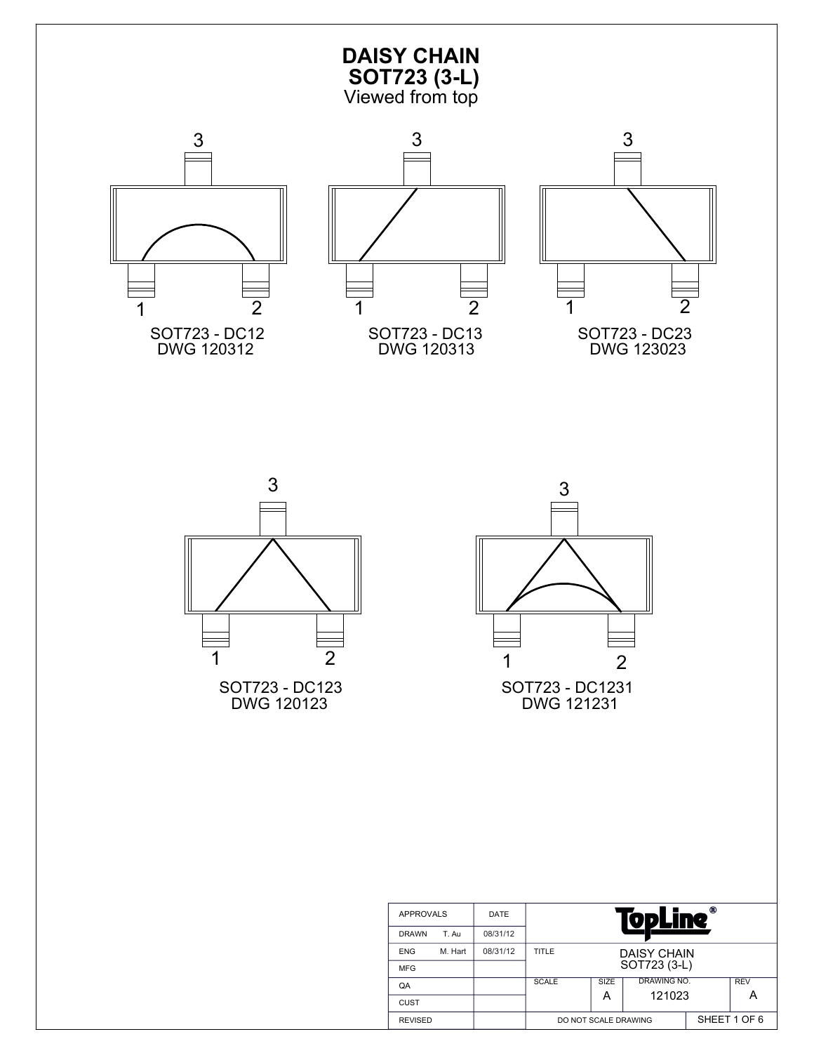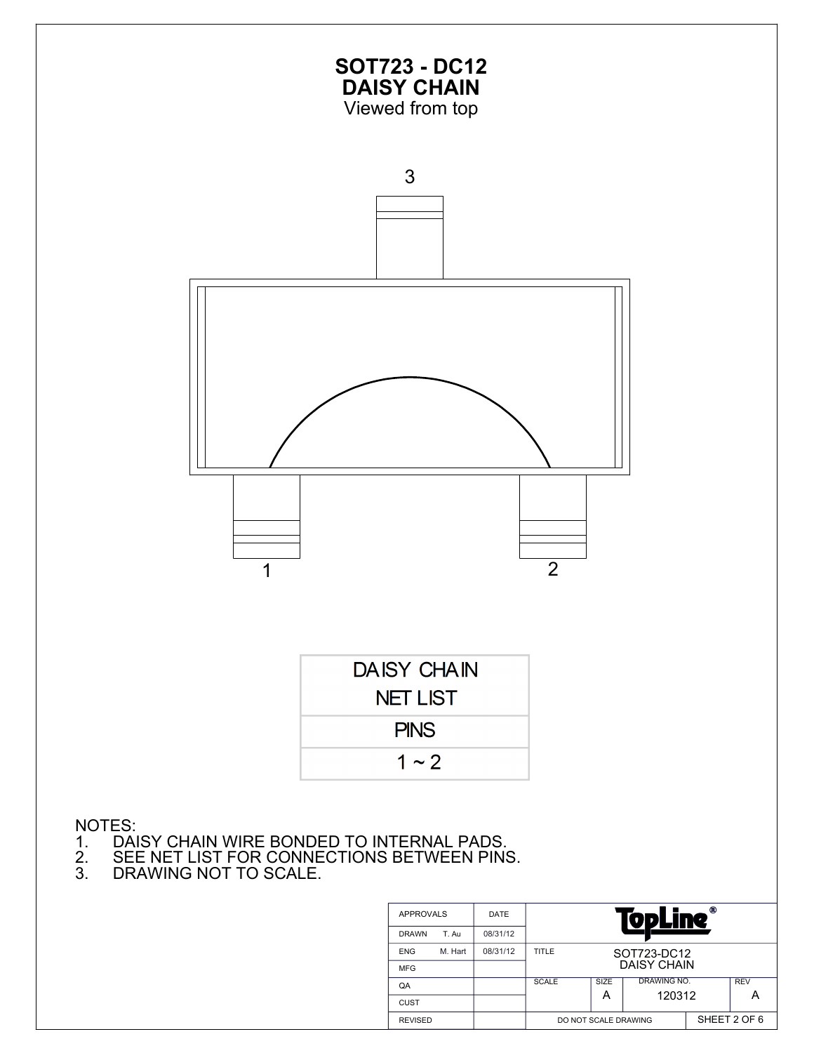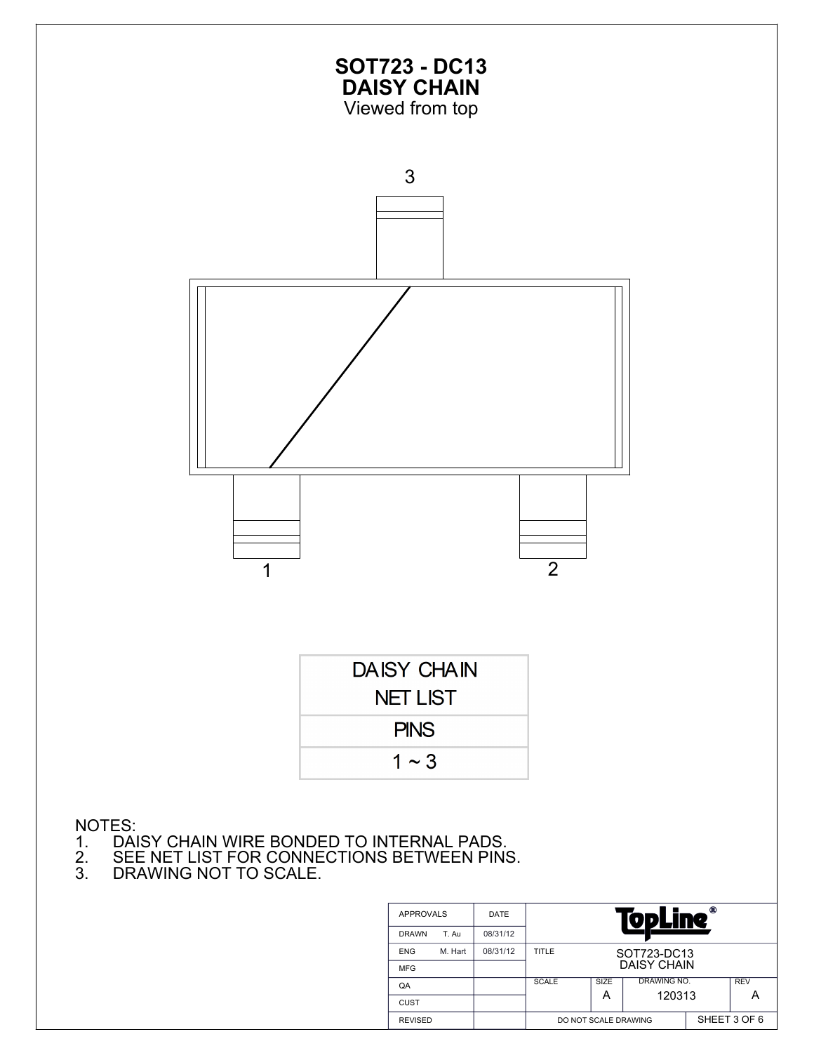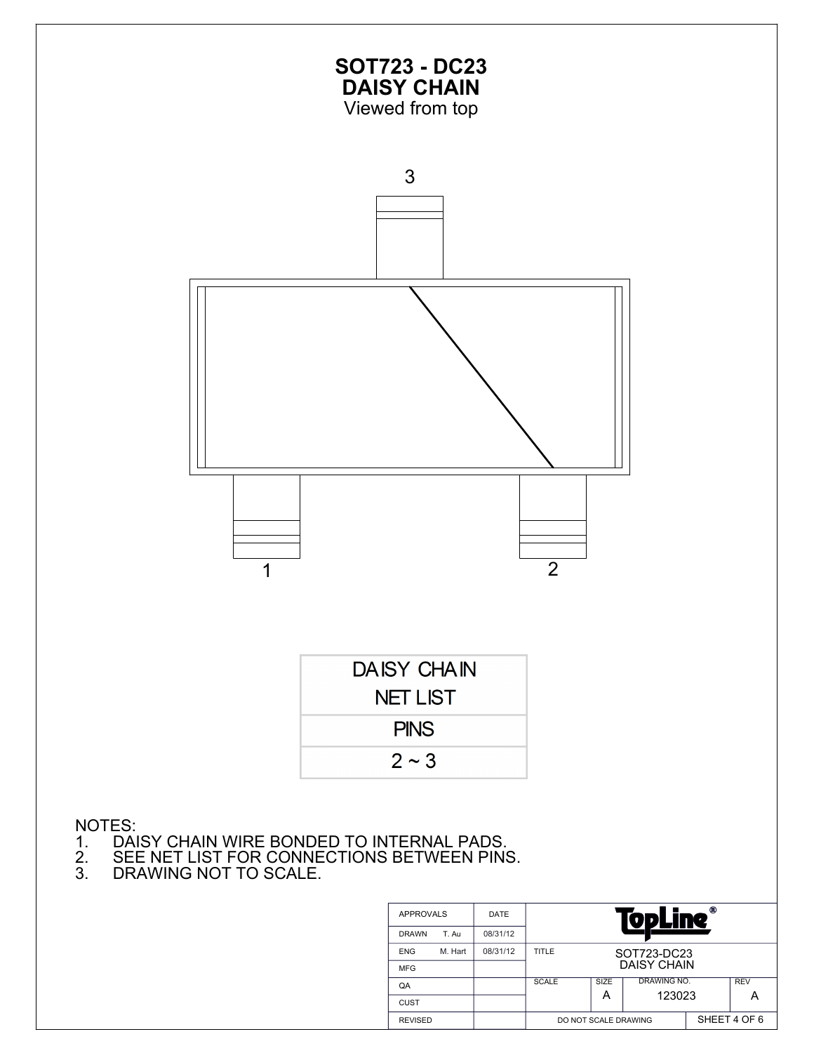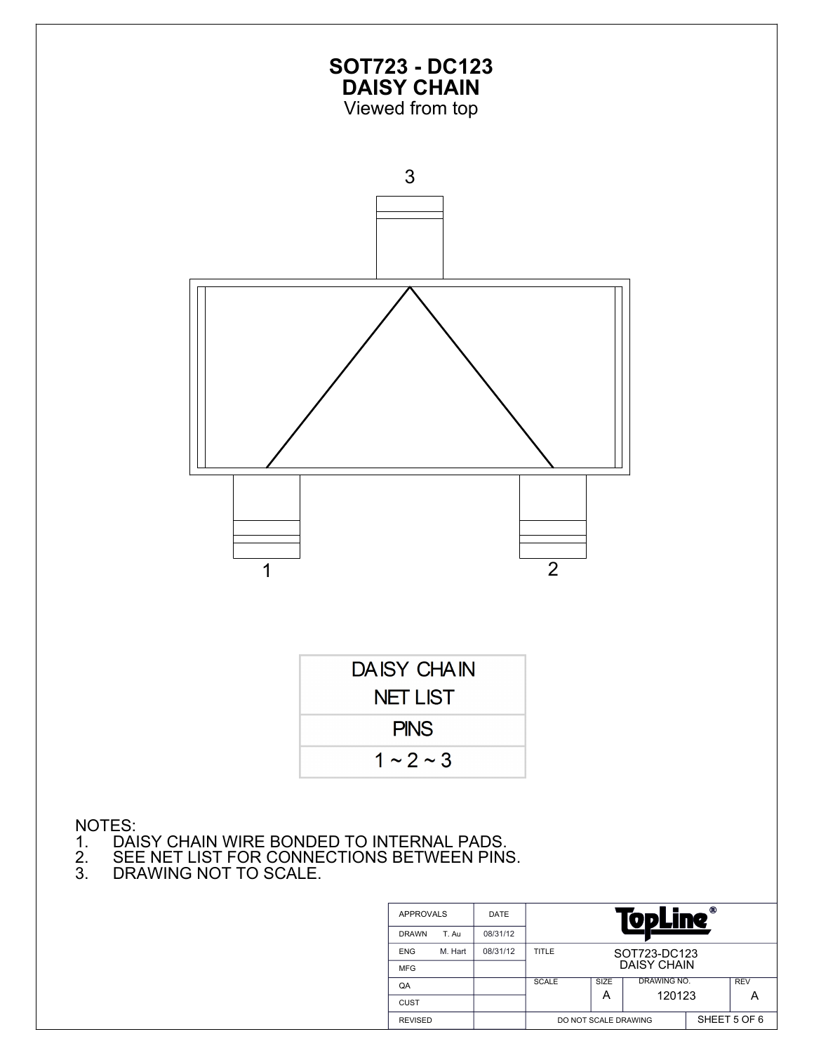